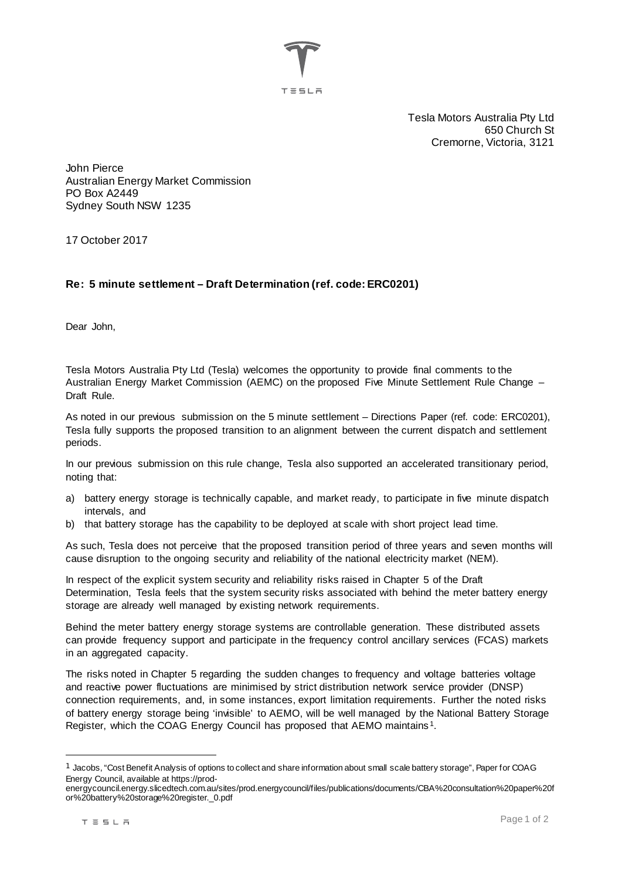

Tesla Motors Australia Pty Ltd 650 Church St Cremorne, Victoria, 3121

John Pierce Australian Energy Market Commission PO Box A2449 Sydney South NSW 1235

17 October 2017

## **Re: 5 minute settlement – Draft Determination (ref. code: ERC0201)**

Dear John,

Tesla Motors Australia Pty Ltd (Tesla) welcomes the opportunity to provide final comments to the Australian Energy Market Commission (AEMC) on the proposed Five Minute Settlement Rule Change – Draft Rule.

As noted in our previous submission on the 5 minute settlement – Directions Paper (ref. code: ERC0201), Tesla fully supports the proposed transition to an alignment between the current dispatch and settlement periods.

In our previous submission on this rule change, Tesla also supported an accelerated transitionary period, noting that:

- a) battery energy storage is technically capable, and market ready, to participate in five minute dispatch intervals, and
- b) that battery storage has the capability to be deployed at scale with short project lead time.

As such, Tesla does not perceive that the proposed transition period of three years and seven months will cause disruption to the ongoing security and reliability of the national electricity market (NEM).

In respect of the explicit system security and reliability risks raised in Chapter 5 of the Draft Determination, Tesla feels that the system security risks associated with behind the meter battery energy storage are already well managed by existing network requirements.

Behind the meter battery energy storage systems are controllable generation. These distributed assets can provide frequency support and participate in the frequency control ancillary services (FCAS) markets in an aggregated capacity.

The risks noted in Chapter 5 regarding the sudden changes to frequency and voltage batteries voltage and reactive power fluctuations are minimised by strict distribution network service provider (DNSP) connection requirements, and, in some instances, export limitation requirements. Further the noted risks of battery energy storage being 'invisible' to AEMO, will be well managed by the National Battery Storage Register, which the COAG Energy Council has proposed that AEMO maintains [1.](#page-0-0)

<span id="page-0-0"></span> $1$  Jacobs, "Cost Benefit Analysis of options to collect and share information about small scale battery storage", Paper for COAG Energy Council, available at https://prod-

energycouncil.energy.slicedtech.com.au/sites/prod.energycouncil/files/publications/documents/CBA%20consultation%20paper%20f or%20battery%20storage%20register.\_0.pdf